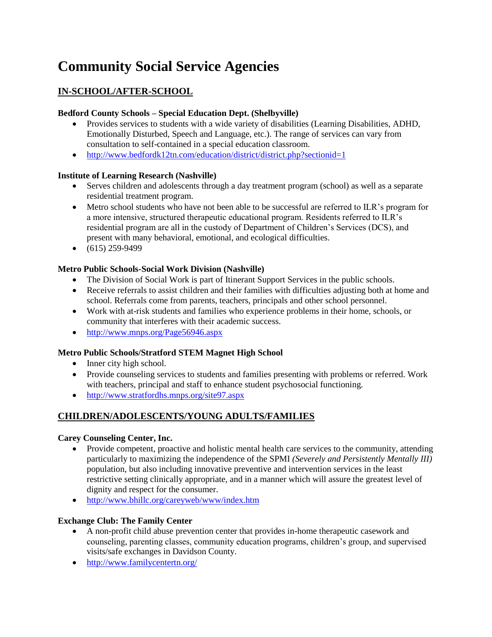# **Community Social Service Agencies**

# **IN-SCHOOL/AFTER-SCHOOL**

# **Bedford County Schools – Special Education Dept. (Shelbyville)**

- Provides services to students with a wide variety of disabilities (Learning Disabilities, ADHD, Emotionally Disturbed, Speech and Language, etc.). The range of services can vary from consultation to self-contained in a special education classroom.
- <http://www.bedfordk12tn.com/education/district/district.php?sectionid=1>

# **Institute of Learning Research (Nashville)**

- Serves children and adolescents through a day treatment program (school) as well as a separate residential treatment program.
- Metro school students who have not been able to be successful are referred to ILR's program for a more intensive, structured therapeutic educational program. Residents referred to ILR's residential program are all in the custody of Department of Children's Services (DCS), and present with many behavioral, emotional, and ecological difficulties.
- $\bullet$  (615) 259-9499

# **Metro Public Schools-Social Work Division (Nashville)**

- The Division of Social Work is part of Itinerant Support Services in the public schools.
- Receive referrals to assist children and their families with difficulties adjusting both at home and school. Referrals come from parents, teachers, principals and other school personnel.
- Work with at-risk students and families who experience problems in their home, schools, or community that interferes with their academic success.
- <http://www.mnps.org/Page56946.aspx>

# **Metro Public Schools/Stratford STEM Magnet High School**

- Inner city high school.
- Provide counseling services to students and families presenting with problems or referred. Work with teachers, principal and staff to enhance student psychosocial functioning.
- <http://www.stratfordhs.mnps.org/site97.aspx>

# **CHILDREN/ADOLESCENTS/YOUNG ADULTS/FAMILIES**

# **Carey Counseling Center, Inc.**

- Provide competent, proactive and holistic mental health care services to the community, attending particularly to maximizing the independence of the SPMI *(Severely and Persistently Mentally III)* population, but also including innovative preventive and intervention services in the least restrictive setting clinically appropriate, and in a manner which will assure the greatest level of dignity and respect for the consumer.
- <http://www.bhillc.org/careyweb/www/index.htm>

# **Exchange Club: The Family Center**

- A non-profit child abuse prevention center that provides in-home therapeutic casework and counseling, parenting classes, community education programs, children's group, and supervised visits/safe exchanges in Davidson County.
- <http://www.familycentertn.org/>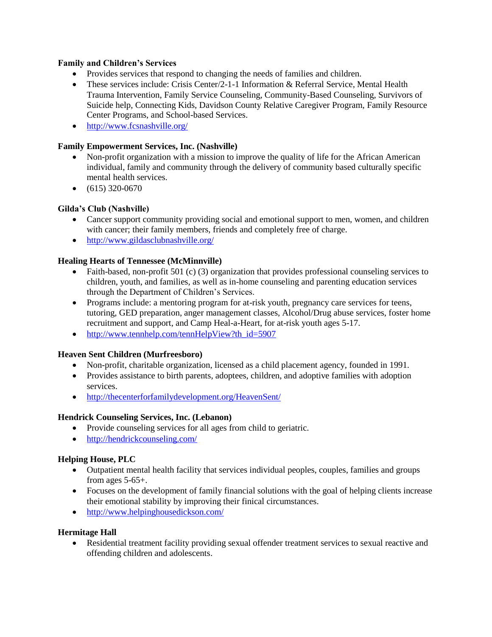# **Family and Children's Services**

- Provides services that respond to changing the needs of families and children.
- These services include: Crisis Center/2-1-1 Information & Referral Service, Mental Health Trauma Intervention, Family Service Counseling, Community-Based Counseling, Survivors of Suicide help, Connecting Kids, Davidson County Relative Caregiver Program, Family Resource Center Programs, and School-based Services.
- <http://www.fcsnashville.org/>

#### **Family Empowerment Services, Inc. (Nashville)**

- Non-profit organization with a mission to improve the quality of life for the African American individual, family and community through the delivery of community based culturally specific mental health services.
- $\bullet$  (615) 320-0670

#### **Gilda's Club (Nashville)**

- Cancer support community providing social and emotional support to men, women, and children with cancer; their family members, friends and completely free of charge.
- <http://www.gildasclubnashville.org/>

#### **Healing Hearts of Tennessee (McMinnville)**

- Faith-based, non-profit 501 (c) (3) organization that provides professional counseling services to children, youth, and families, as well as in-home counseling and parenting education services through the Department of Children's Services.
- Programs include: a mentoring program for at-risk youth, pregnancy care services for teens, tutoring, GED preparation, anger management classes, Alcohol/Drug abuse services, foster home recruitment and support, and Camp Heal-a-Heart, for at-risk youth ages 5-17.
- [http://www.tennhelp.com/tennHelpView?th\\_id=5907](http://www.tennhelp.com/tennHelpView?th_id=5907)

#### **Heaven Sent Children (Murfreesboro)**

- Non-profit, charitable organization, licensed as a child placement agency, founded in 1991.
- Provides assistance to birth parents, adoptees, children, and adoptive families with adoption services.
- <http://thecenterforfamilydevelopment.org/HeavenSent/>

#### **Hendrick Counseling Services, Inc. (Lebanon)**

- Provide counseling services for all ages from child to geriatric.
- <http://hendrickcounseling.com/>

#### **Helping House, PLC**

- Outpatient mental health facility that services individual peoples, couples, families and groups from ages  $5-65+$ .
- Focuses on the development of family financial solutions with the goal of helping clients increase their emotional stability by improving their finical circumstances.
- <http://www.helpinghousedickson.com/>

#### **Hermitage Hall**

 Residential treatment facility providing sexual offender treatment services to sexual reactive and offending children and adolescents.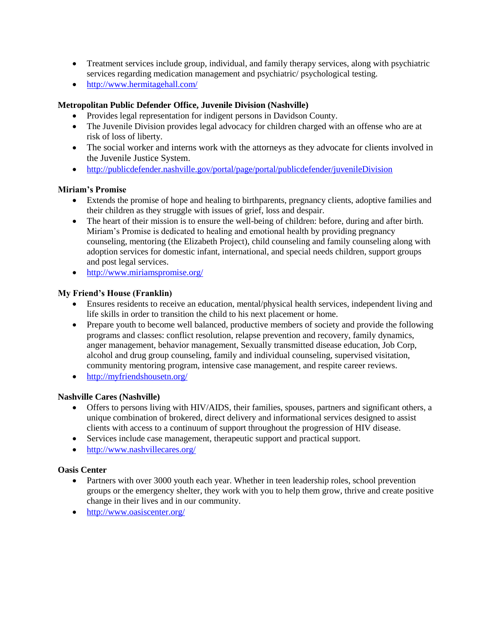- Treatment services include group, individual, and family therapy services, along with psychiatric services regarding medication management and psychiatric/ psychological testing.
- <http://www.hermitagehall.com/>

# **Metropolitan Public Defender Office, Juvenile Division (Nashville)**

- Provides legal representation for indigent persons in Davidson County.
- The Juvenile Division provides legal advocacy for children charged with an offense who are at risk of loss of liberty.
- The social worker and interns work with the attorneys as they advocate for clients involved in the Juvenile Justice System.
- <http://publicdefender.nashville.gov/portal/page/portal/publicdefender/juvenileDivision>

# **Miriam's Promise**

- Extends the promise of hope and healing to birthparents, pregnancy clients, adoptive families and their children as they struggle with issues of grief, loss and despair.
- The heart of their mission is to ensure the well-being of children: before, during and after birth. Miriam's Promise is dedicated to healing and emotional health by providing pregnancy counseling, mentoring (the Elizabeth Project), child counseling and family counseling along with adoption services for domestic infant, international, and special needs children, support groups and post legal services.
- <http://www.miriamspromise.org/>

# **My Friend's House (Franklin)**

- Ensures residents to receive an education, mental/physical health services, independent living and life skills in order to transition the child to his next placement or home.
- Prepare youth to become well balanced, productive members of society and provide the following programs and classes: conflict resolution, relapse prevention and recovery, family dynamics, anger management, behavior management, Sexually transmitted disease education, Job Corp, alcohol and drug group counseling, family and individual counseling, supervised visitation, community mentoring program, intensive case management, and respite career reviews.
- <http://myfriendshousetn.org/>

# **Nashville Cares (Nashville)**

- Offers to persons living with HIV/AIDS, their families, spouses, partners and significant others, a unique combination of brokered, direct delivery and informational services designed to assist clients with access to a continuum of support throughout the progression of HIV disease.
- Services include case management, therapeutic support and practical support.
- <http://www.nashvillecares.org/>

# **Oasis Center**

- Partners with over 3000 youth each year. Whether in teen leadership roles, school prevention groups or the emergency shelter, they work with you to help them grow, thrive and create positive change in their lives and in our community.
- <http://www.oasiscenter.org/>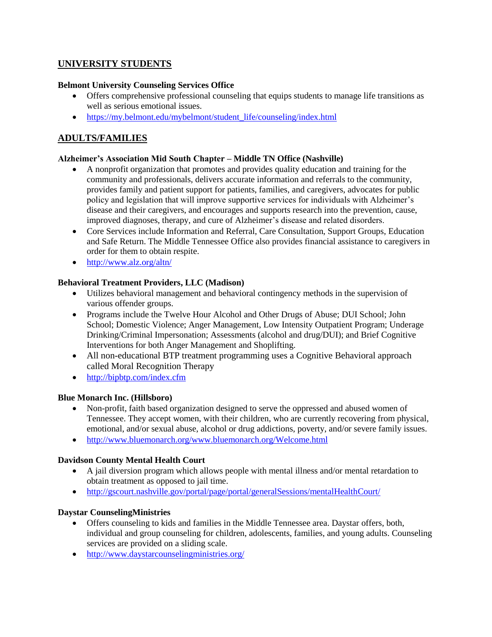# **UNIVERSITY STUDENTS**

# **Belmont University Counseling Services Office**

- Offers comprehensive professional counseling that equips students to manage life transitions as well as serious emotional issues.
- [https://my.belmont.edu/mybelmont/student\\_life/counseling/index.html](https://my.belmont.edu/mybelmont/student_life/counseling/index.html)

# **ADULTS/FAMILIES**

### **Alzheimer's Association Mid South Chapter – Middle TN Office (Nashville)**

- A nonprofit organization that promotes and provides quality education and training for the community and professionals, delivers accurate information and referrals to the community, provides family and patient support for patients, families, and caregivers, advocates for public policy and legislation that will improve supportive services for individuals with Alzheimer's disease and their caregivers, and encourages and supports research into the prevention, cause, improved diagnoses, therapy, and cure of Alzheimer's disease and related disorders.
- Core Services include Information and Referral, Care Consultation, Support Groups, Education and Safe Return. The Middle Tennessee Office also provides financial assistance to caregivers in order for them to obtain respite.
- <http://www.alz.org/altn/>

#### **Behavioral Treatment Providers, LLC (Madison)**

- Utilizes behavioral management and behavioral contingency methods in the supervision of various offender groups.
- Programs include the Twelve Hour Alcohol and Other Drugs of Abuse; DUI School; John School; Domestic Violence; Anger Management, Low Intensity Outpatient Program; Underage Drinking/Criminal Impersonation; Assessments (alcohol and drug/DUI); and Brief Cognitive Interventions for both Anger Management and Shoplifting.
- All non-educational BTP treatment programming uses a Cognitive Behavioral approach called Moral Recognition Therapy
- <http://bipbtp.com/index.cfm>

#### **Blue Monarch Inc. (Hillsboro)**

- Non-profit, faith based organization designed to serve the oppressed and abused women of Tennessee. They accept women, with their children, who are currently recovering from physical, emotional, and/or sexual abuse, alcohol or drug addictions, poverty, and/or severe family issues.
- <http://www.bluemonarch.org/www.bluemonarch.org/Welcome.html>

# **Davidson County Mental Health Court**

- A jail diversion program which allows people with mental illness and/or mental retardation to obtain treatment as opposed to jail time.
- <http://gscourt.nashville.gov/portal/page/portal/generalSessions/mentalHealthCourt/>

#### **Daystar CounselingMinistries**

- Offers counseling to kids and families in the Middle Tennessee area. Daystar offers, both, individual and group counseling for children, adolescents, families, and young adults. Counseling services are provided on a sliding scale.
- <http://www.daystarcounselingministries.org/>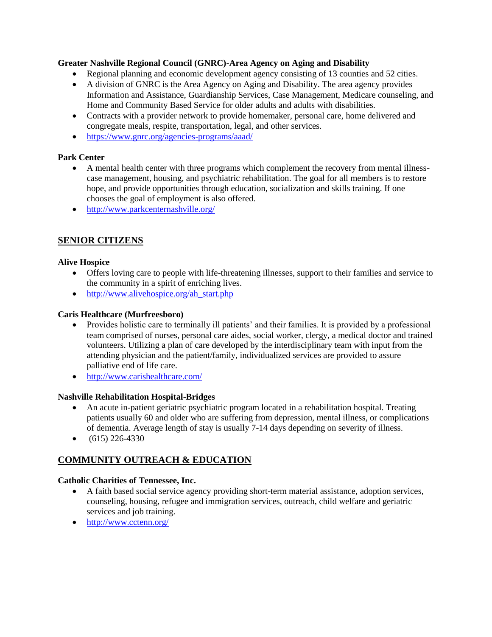# **Greater Nashville Regional Council (GNRC)-Area Agency on Aging and Disability**

- Regional planning and economic development agency consisting of 13 counties and 52 cities.
- A division of GNRC is the Area Agency on Aging and Disability. The area agency provides Information and Assistance, Guardianship Services, Case Management, Medicare counseling, and Home and Community Based Service for older adults and adults with disabilities.
- Contracts with a provider network to provide homemaker, personal care, home delivered and congregate meals, respite, transportation, legal, and other services.
- <https://www.gnrc.org/agencies-programs/aaad/>

#### **Park Center**

- A mental health center with three programs which complement the recovery from mental illnesscase management, housing, and psychiatric rehabilitation. The goal for all members is to restore hope, and provide opportunities through education, socialization and skills training. If one chooses the goal of employment is also offered.
- <http://www.parkcenternashville.org/>

# **SENIOR CITIZENS**

#### **Alive Hospice**

- Offers loving care to people with life-threatening illnesses, support to their families and service to the community in a spirit of enriching lives.
- $\bullet$  [http://www.alivehospice.org/ah\\_start.php](http://www.alivehospice.org/ah_start.php)

#### **Caris Healthcare (Murfreesboro)**

- Provides holistic care to terminally ill patients' and their families. It is provided by a professional team comprised of nurses, personal care aides, social worker, clergy, a medical doctor and trained volunteers. Utilizing a plan of care developed by the interdisciplinary team with input from the attending physician and the patient/family, individualized services are provided to assure palliative end of life care.
- <http://www.carishealthcare.com/>

#### **Nashville Rehabilitation Hospital-Bridges**

- An acute in-patient geriatric psychiatric program located in a rehabilitation hospital. Treating patients usually 60 and older who are suffering from depression, mental illness, or complications of dementia. Average length of stay is usually 7-14 days depending on severity of illness.
- $\bullet$  (615) 226-4330

# **COMMUNITY OUTREACH & EDUCATION**

# **Catholic Charities of Tennessee, Inc.**

- A faith based social service agency providing short-term material assistance, adoption services, counseling, housing, refugee and immigration services, outreach, child welfare and geriatric services and job training.
- <http://www.cctenn.org/>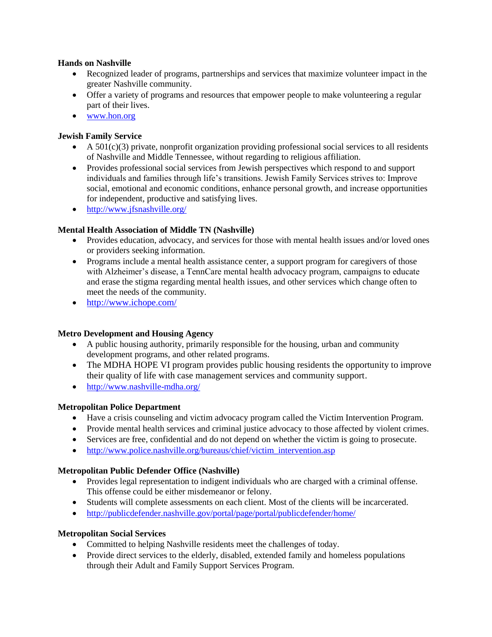### **Hands on Nashville**

- Recognized leader of programs, partnerships and services that maximize volunteer impact in the greater Nashville community.
- Offer a variety of programs and resources that empower people to make volunteering a regular part of their lives.
- [www.hon.org](http://www.hon.org/)

# **Jewish Family Service**

- $\blacklozenge$  A 501(c)(3) private, nonprofit organization providing professional social services to all residents of Nashville and Middle Tennessee, without regarding to religious affiliation.
- Provides professional social services from Jewish perspectives which respond to and support individuals and families through life's transitions. Jewish Family Services strives to: Improve social, emotional and economic conditions, enhance personal growth, and increase opportunities for independent, productive and satisfying lives.
- <http://www.jfsnashville.org/>

# **Mental Health Association of Middle TN (Nashville)**

- Provides education, advocacy, and services for those with mental health issues and/or loved ones or providers seeking information.
- Programs include a mental health assistance center, a support program for caregivers of those with Alzheimer's disease, a TennCare mental health advocacy program, campaigns to educate and erase the stigma regarding mental health issues, and other services which change often to meet the needs of the community.
- <http://www.ichope.com/>

# **Metro Development and Housing Agency**

- A public housing authority, primarily responsible for the housing, urban and community development programs, and other related programs.
- The MDHA HOPE VI program provides public housing residents the opportunity to improve their quality of life with case management services and community support.
- <http://www.nashville-mdha.org/>

# **Metropolitan Police Department**

- Have a crisis counseling and victim advocacy program called the Victim Intervention Program.
- Provide mental health services and criminal justice advocacy to those affected by violent crimes.
- Services are free, confidential and do not depend on whether the victim is going to prosecute.
- [http://www.police.nashville.org/bureaus/chief/victim\\_intervention.asp](http://www.police.nashville.org/bureaus/chief/victim_intervention.asp)

# **Metropolitan Public Defender Office (Nashville)**

- Provides legal representation to indigent individuals who are charged with a criminal offense. This offense could be either misdemeanor or felony.
- Students will complete assessments on each client. Most of the clients will be incarcerated.
- <http://publicdefender.nashville.gov/portal/page/portal/publicdefender/home/>

# **Metropolitan Social Services**

- Committed to helping Nashville residents meet the challenges of today.
- Provide direct services to the elderly, disabled, extended family and homeless populations through their Adult and Family Support Services Program.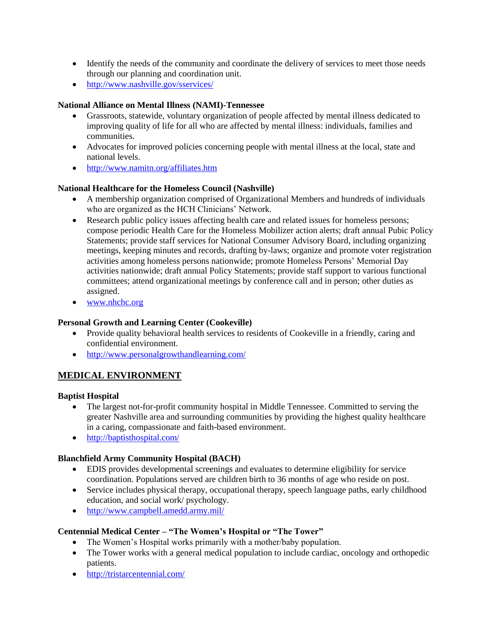- Identify the needs of the community and coordinate the delivery of services to meet those needs through our planning and coordination unit.
- <http://www.nashville.gov/sservices/>

# **National Alliance on Mental Illness (NAMI)-Tennessee**

- Grassroots, statewide, voluntary organization of people affected by mental illness dedicated to improving quality of life for all who are affected by mental illness: individuals, families and communities.
- Advocates for improved policies concerning people with mental illness at the local, state and national levels.
- <http://www.namitn.org/affiliates.htm>

# **National Healthcare for the Homeless Council (Nashville)**

- A membership organization comprised of Organizational Members and hundreds of individuals who are organized as the HCH Clinicians' Network.
- Research public policy issues affecting health care and related issues for homeless persons; compose periodic Health Care for the Homeless Mobilizer action alerts; draft annual Pubic Policy Statements; provide staff services for National Consumer Advisory Board, including organizing meetings, keeping minutes and records, drafting by-laws; organize and promote voter registration activities among homeless persons nationwide; promote Homeless Persons' Memorial Day activities nationwide; draft annual Policy Statements; provide staff support to various functional committees; attend organizational meetings by conference call and in person; other duties as assigned.
- [www.nhchc.org](http://www.nhchc.org/)

# **Personal Growth and Learning Center (Cookeville)**

- Provide quality behavioral health services to residents of Cookeville in a friendly, caring and confidential environment.
- <http://www.personalgrowthandlearning.com/>

# **MEDICAL ENVIRONMENT**

# **Baptist Hospital**

- The largest not-for-profit community hospital in Middle Tennessee. Committed to serving the greater Nashville area and surrounding communities by providing the highest quality healthcare in a caring, compassionate and faith-based environment.
- <http://baptisthospital.com/>

# **Blanchfield Army Community Hospital (BACH)**

- EDIS provides developmental screenings and evaluates to determine eligibility for service coordination. Populations served are children birth to 36 months of age who reside on post.
- Service includes physical therapy, occupational therapy, speech language paths, early childhood education, and social work/ psychology.
- <http://www.campbell.amedd.army.mil/>

# **Centennial Medical Center – "The Women's Hospital or "The Tower"**

- The Women's Hospital works primarily with a mother/baby population.
- The Tower works with a general medical population to include cardiac, oncology and orthopedic patients.
- http://tristarcentennial.com/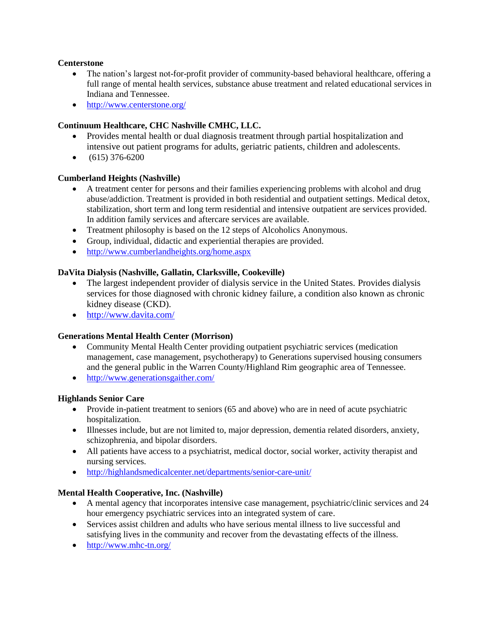#### **Centerstone**

- The nation's largest not-for-profit provider of community-based behavioral healthcare, offering a full range of mental health services, substance abuse treatment and related educational services in Indiana and Tennessee.
- <http://www.centerstone.org/>

# **Continuum Healthcare, CHC Nashville CMHC, LLC.**

- Provides mental health or dual diagnosis treatment through partial hospitalization and intensive out patient programs for adults, geriatric patients, children and adolescents.
- $\bullet$  (615) 376-6200

# **Cumberland Heights (Nashville)**

- A treatment center for persons and their families experiencing problems with alcohol and drug abuse/addiction. Treatment is provided in both residential and outpatient settings. Medical detox, stabilization, short term and long term residential and intensive outpatient are services provided. In addition family services and aftercare services are available.
- Treatment philosophy is based on the 12 steps of Alcoholics Anonymous.
- Group, individual, didactic and experiential therapies are provided.
- <http://www.cumberlandheights.org/home.aspx>

# **DaVita Dialysis (Nashville, Gallatin, Clarksville, Cookeville)**

- The largest independent provider of dialysis service in the United States. Provides dialysis services for those diagnosed with chronic kidney failure, a condition also known as chronic kidney disease (CKD).
- <http://www.davita.com/>

# **Generations Mental Health Center (Morrison)**

- Community Mental Health Center providing outpatient psychiatric services (medication management, case management, psychotherapy) to Generations supervised housing consumers and the general public in the Warren County/Highland Rim geographic area of Tennessee.
- <http://www.generationsgaither.com/>

# **Highlands Senior Care**

- Provide in-patient treatment to seniors (65 and above) who are in need of acute psychiatric hospitalization.
- Illnesses include, but are not limited to, major depression, dementia related disorders, anxiety, schizophrenia, and bipolar disorders.
- All patients have access to a psychiatrist, medical doctor, social worker, activity therapist and nursing services.
- <http://highlandsmedicalcenter.net/departments/senior-care-unit/>

# **Mental Health Cooperative, Inc. (Nashville)**

- A mental agency that incorporates intensive case management, psychiatric/clinic services and 24 hour emergency psychiatric services into an integrated system of care.
- Services assist children and adults who have serious mental illness to live successful and satisfying lives in the community and recover from the devastating effects of the illness.
- <http://www.mhc-tn.org/>